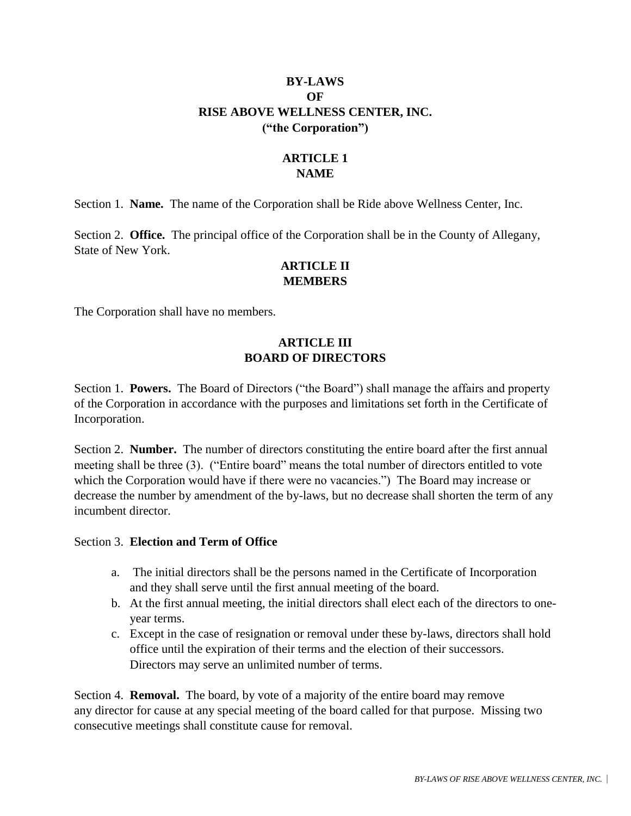# **BY-LAWS OF RISE ABOVE WELLNESS CENTER, INC. ("the Corporation")**

# **ARTICLE 1 NAME**

Section 1. **Name.** The name of the Corporation shall be Ride above Wellness Center, Inc.

Section 2. **Office.** The principal office of the Corporation shall be in the County of Allegany, State of New York.

# **ARTICLE II MEMBERS**

The Corporation shall have no members.

# **ARTICLE III BOARD OF DIRECTORS**

Section 1. **Powers.** The Board of Directors ("the Board") shall manage the affairs and property of the Corporation in accordance with the purposes and limitations set forth in the Certificate of Incorporation.

Section 2. **Number.** The number of directors constituting the entire board after the first annual meeting shall be three (3). ("Entire board" means the total number of directors entitled to vote which the Corporation would have if there were no vacancies.") The Board may increase or decrease the number by amendment of the by-laws, but no decrease shall shorten the term of any incumbent director.

#### Section 3. **Election and Term of Office**

- a. The initial directors shall be the persons named in the Certificate of Incorporation and they shall serve until the first annual meeting of the board.
- b. At the first annual meeting, the initial directors shall elect each of the directors to oneyear terms.
- c. Except in the case of resignation or removal under these by-laws, directors shall hold office until the expiration of their terms and the election of their successors. Directors may serve an unlimited number of terms.

Section 4. **Removal.** The board, by vote of a majority of the entire board may remove any director for cause at any special meeting of the board called for that purpose. Missing two consecutive meetings shall constitute cause for removal.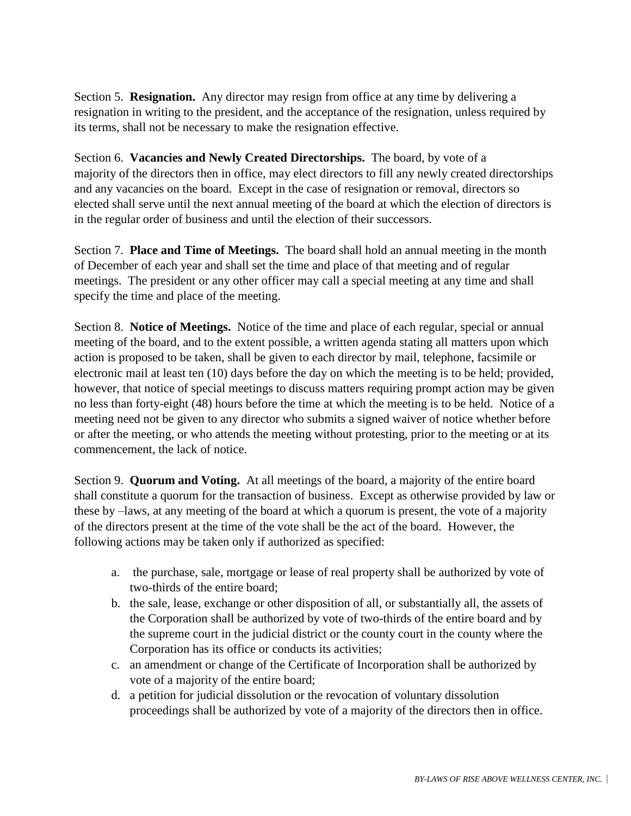Section 5. **Resignation.** Any director may resign from office at any time by delivering a resignation in writing to the president, and the acceptance of the resignation, unless required by its terms, shall not be necessary to make the resignation effective.

Section 6. **Vacancies and Newly Created Directorships.** The board, by vote of a majority of the directors then in office, may elect directors to fill any newly created directorships and any vacancies on the board. Except in the case of resignation or removal, directors so elected shall serve until the next annual meeting of the board at which the election of directors is in the regular order of business and until the election of their successors.

Section 7. **Place and Time of Meetings.** The board shall hold an annual meeting in the month of December of each year and shall set the time and place of that meeting and of regular meetings. The president or any other officer may call a special meeting at any time and shall specify the time and place of the meeting.

Section 8. **Notice of Meetings.** Notice of the time and place of each regular, special or annual meeting of the board, and to the extent possible, a written agenda stating all matters upon which action is proposed to be taken, shall be given to each director by mail, telephone, facsimile or electronic mail at least ten (10) days before the day on which the meeting is to be held; provided, however, that notice of special meetings to discuss matters requiring prompt action may be given no less than forty-eight (48) hours before the time at which the meeting is to be held. Notice of a meeting need not be given to any director who submits a signed waiver of notice whether before or after the meeting, or who attends the meeting without protesting, prior to the meeting or at its commencement, the lack of notice.

Section 9. **Quorum and Voting.** At all meetings of the board, a majority of the entire board shall constitute a quorum for the transaction of business. Except as otherwise provided by law or these by –laws, at any meeting of the board at which a quorum is present, the vote of a majority of the directors present at the time of the vote shall be the act of the board. However, the following actions may be taken only if authorized as specified:

- a. the purchase, sale, mortgage or lease of real property shall be authorized by vote of two-thirds of the entire board;
- b. the sale, lease, exchange or other disposition of all, or substantially all, the assets of the Corporation shall be authorized by vote of two-thirds of the entire board and by the supreme court in the judicial district or the county court in the county where the Corporation has its office or conducts its activities;
- c. an amendment or change of the Certificate of Incorporation shall be authorized by vote of a majority of the entire board;
- d. a petition for judicial dissolution or the revocation of voluntary dissolution proceedings shall be authorized by vote of a majority of the directors then in office.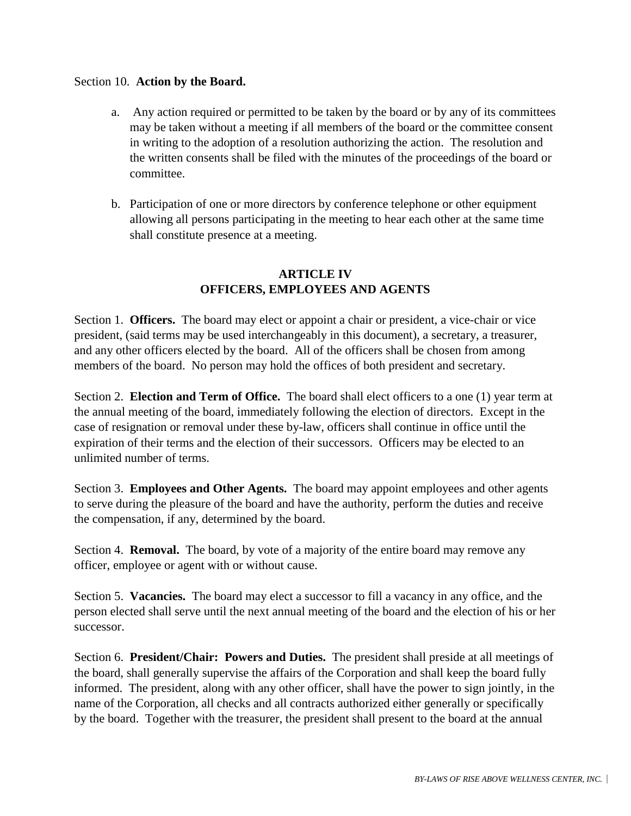#### Section 10. **Action by the Board.**

- a. Any action required or permitted to be taken by the board or by any of its committees may be taken without a meeting if all members of the board or the committee consent in writing to the adoption of a resolution authorizing the action. The resolution and the written consents shall be filed with the minutes of the proceedings of the board or committee.
- b. Participation of one or more directors by conference telephone or other equipment allowing all persons participating in the meeting to hear each other at the same time shall constitute presence at a meeting.

# **ARTICLE IV OFFICERS, EMPLOYEES AND AGENTS**

Section 1. **Officers.** The board may elect or appoint a chair or president, a vice-chair or vice president, (said terms may be used interchangeably in this document), a secretary, a treasurer, and any other officers elected by the board. All of the officers shall be chosen from among members of the board. No person may hold the offices of both president and secretary.

Section 2. **Election and Term of Office.** The board shall elect officers to a one (1) year term at the annual meeting of the board, immediately following the election of directors. Except in the case of resignation or removal under these by-law, officers shall continue in office until the expiration of their terms and the election of their successors. Officers may be elected to an unlimited number of terms.

Section 3. **Employees and Other Agents.** The board may appoint employees and other agents to serve during the pleasure of the board and have the authority, perform the duties and receive the compensation, if any, determined by the board.

Section 4. **Removal.** The board, by vote of a majority of the entire board may remove any officer, employee or agent with or without cause.

Section 5. **Vacancies.** The board may elect a successor to fill a vacancy in any office, and the person elected shall serve until the next annual meeting of the board and the election of his or her successor.

Section 6. **President/Chair: Powers and Duties.** The president shall preside at all meetings of the board, shall generally supervise the affairs of the Corporation and shall keep the board fully informed. The president, along with any other officer, shall have the power to sign jointly, in the name of the Corporation, all checks and all contracts authorized either generally or specifically by the board. Together with the treasurer, the president shall present to the board at the annual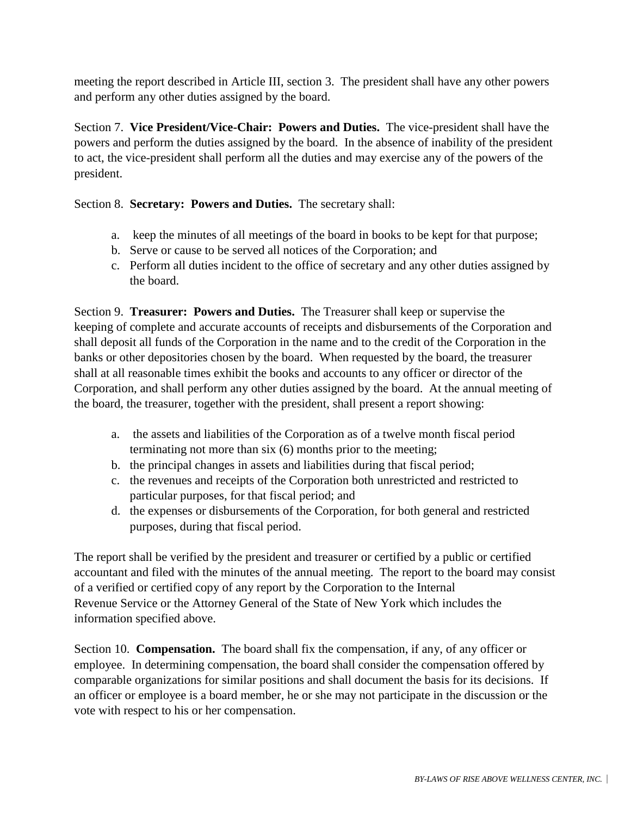meeting the report described in Article III, section 3. The president shall have any other powers and perform any other duties assigned by the board.

Section 7. **Vice President/Vice-Chair: Powers and Duties.** The vice-president shall have the powers and perform the duties assigned by the board. In the absence of inability of the president to act, the vice-president shall perform all the duties and may exercise any of the powers of the president.

Section 8. **Secretary: Powers and Duties.** The secretary shall:

- a. keep the minutes of all meetings of the board in books to be kept for that purpose;
- b. Serve or cause to be served all notices of the Corporation; and
- c. Perform all duties incident to the office of secretary and any other duties assigned by the board.

Section 9. **Treasurer: Powers and Duties.** The Treasurer shall keep or supervise the keeping of complete and accurate accounts of receipts and disbursements of the Corporation and shall deposit all funds of the Corporation in the name and to the credit of the Corporation in the banks or other depositories chosen by the board. When requested by the board, the treasurer shall at all reasonable times exhibit the books and accounts to any officer or director of the Corporation, and shall perform any other duties assigned by the board. At the annual meeting of the board, the treasurer, together with the president, shall present a report showing:

- a. the assets and liabilities of the Corporation as of a twelve month fiscal period terminating not more than six (6) months prior to the meeting;
- b. the principal changes in assets and liabilities during that fiscal period;
- c. the revenues and receipts of the Corporation both unrestricted and restricted to particular purposes, for that fiscal period; and
- d. the expenses or disbursements of the Corporation, for both general and restricted purposes, during that fiscal period.

The report shall be verified by the president and treasurer or certified by a public or certified accountant and filed with the minutes of the annual meeting. The report to the board may consist of a verified or certified copy of any report by the Corporation to the Internal Revenue Service or the Attorney General of the State of New York which includes the information specified above.

Section 10. **Compensation.** The board shall fix the compensation, if any, of any officer or employee. In determining compensation, the board shall consider the compensation offered by comparable organizations for similar positions and shall document the basis for its decisions. If an officer or employee is a board member, he or she may not participate in the discussion or the vote with respect to his or her compensation.